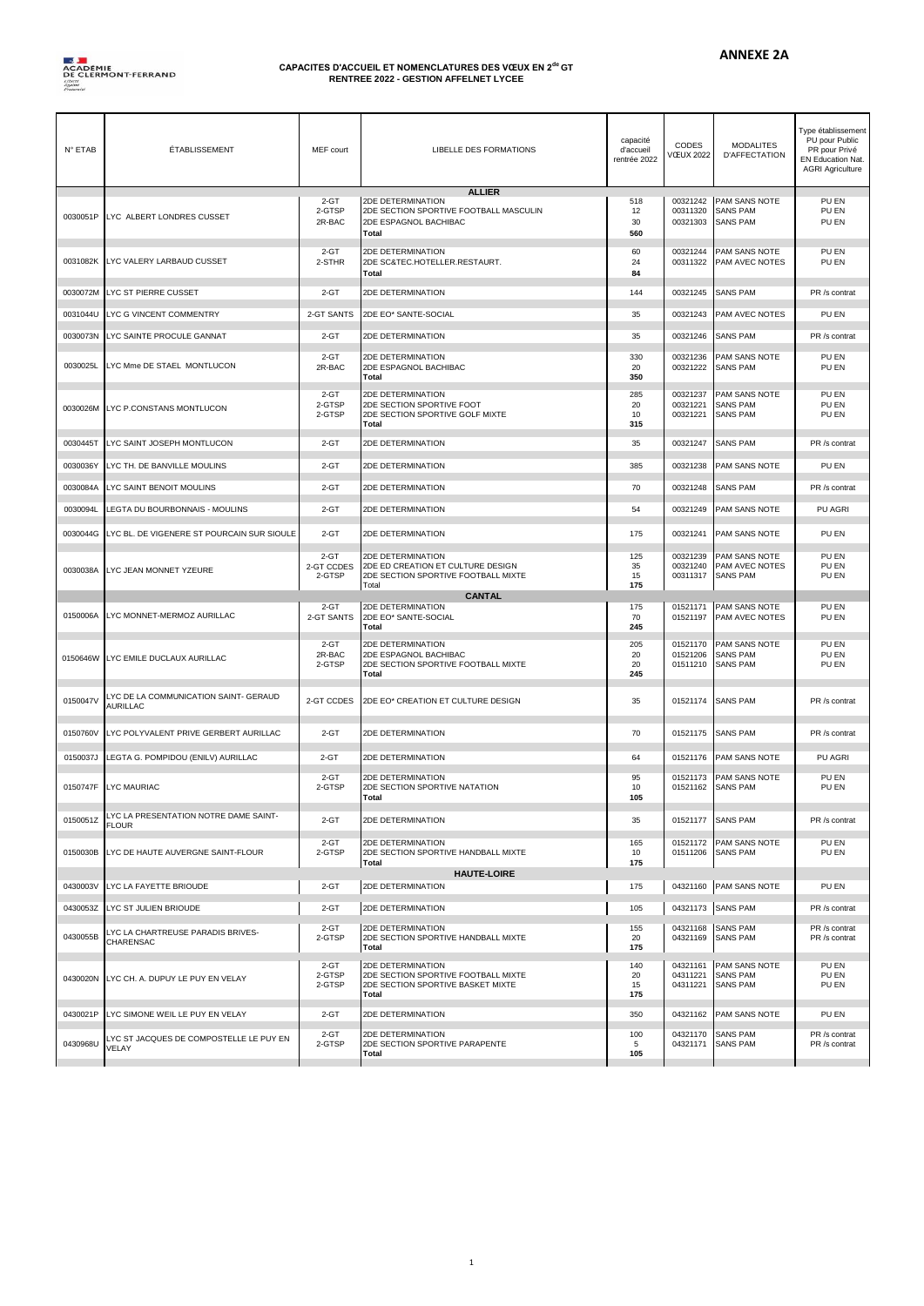

## **CAPACITES D'ACCUEIL ET NOMENCLATURES DES VŒUX EN 2de GT RENTREE 2022 - GESTION AFFELNET LYCEE**

| N° ETAB  | <b>ÉTABLISSEMENT</b>                                     | MEF court                      | <b>LIBELLE DES FORMATIONS</b>                                                                                  | capacité<br>d'accueil<br>rentrée 2022 | CODES<br><b>VŒUX 2022</b>        | <b>MODALITES</b><br><b>D'AFFECTATION</b>            | Type établissement<br>PU pour Public<br>PR pour Privé<br>EN Education Nat.<br><b>AGRI Agriculture</b> |
|----------|----------------------------------------------------------|--------------------------------|----------------------------------------------------------------------------------------------------------------|---------------------------------------|----------------------------------|-----------------------------------------------------|-------------------------------------------------------------------------------------------------------|
| 0030051P | LYC ALBERT LONDRES CUSSET                                | $2 - GT$<br>2-GTSP<br>2R-BAC   | <b>ALLIER</b><br>2DE DETERMINATION<br>2DE SECTION SPORTIVE FOOTBALL MASCULIN<br>2DE ESPAGNOL BACHIBAC<br>Total | 518<br>12<br>30<br>560                | 00321242<br>00311320<br>00321303 | PAM SANS NOTE<br><b>SANS PAM</b><br><b>SANS PAM</b> | PU EN<br>PU EN<br>PU EN                                                                               |
| 0031082K | LYC VALERY LARBAUD CUSSET                                | 2-GT<br>2-STHR                 | 2DE DETERMINATION<br>2DE SC&TEC.HOTELLER.RESTAURT.<br>Total                                                    | 60<br>24<br>84                        | 00321244<br>00311322             | PAM SANS NOTE<br>PAM AVEC NOTES                     | PU EN<br>PU EN                                                                                        |
| 0030072M | LYC ST PIERRE CUSSET                                     | $2 - GT$                       | 2DE DETERMINATION                                                                                              | 144                                   | 00321245                         | <b>SANS PAM</b>                                     | PR /s contrat                                                                                         |
| 0031044U | LYC G VINCENT COMMENTRY                                  | 2-GT SANTS                     | 2DE EO* SANTE-SOCIAL                                                                                           | 35                                    | 00321243                         | PAM AVEC NOTES                                      | PU EN                                                                                                 |
| 0030073N | LYC SAINTE PROCULE GANNAT                                | $2 - GT$                       | 2DE DETERMINATION                                                                                              | 35                                    | 00321246                         | <b>SANS PAM</b>                                     | PR /s contrat                                                                                         |
| 0030025L | LYC Mme DE STAEL MONTLUCON                               | $2-GT$<br>2R-BAC               | 2DE DETERMINATION<br>2DE ESPAGNOL BACHIBAC<br>Total                                                            | 330<br>20<br>350                      | 00321236<br>00321222             | PAM SANS NOTE<br><b>SANS PAM</b>                    | PU EN<br>PU EN                                                                                        |
| 0030026M | LYC P.CONSTANS MONTLUCON                                 | $2-GT$<br>2-GTSP<br>2-GTSP     | 2DE DETERMINATION<br>2DE SECTION SPORTIVE FOOT<br>2DE SECTION SPORTIVE GOLF MIXTE<br>Total                     | 285<br>20<br>10<br>315                | 00321237<br>00321221<br>00321221 | PAM SANS NOTE<br><b>SANS PAM</b><br><b>SANS PAM</b> | PU EN<br>PU EN<br>PU EN                                                                               |
| 0030445T | LYC SAINT JOSEPH MONTLUCON                               | $2 - GT$                       | 2DE DETERMINATION                                                                                              | 35                                    | 00321247                         | <b>SANS PAM</b>                                     | PR /s contrat                                                                                         |
| 0030036Y | LYC TH. DE BANVILLE MOULINS                              | $2 - GT$                       | 2DE DETERMINATION                                                                                              | 385                                   | 00321238                         | PAM SANS NOTE                                       | PU EN                                                                                                 |
| 0030084A | LYC SAINT BENOIT MOULINS                                 | $2 - GT$                       | 2DE DETERMINATION                                                                                              | 70                                    | 00321248                         | <b>SANS PAM</b>                                     | PR /s contrat                                                                                         |
| 0030094L | LEGTA DU BOURBONNAIS - MOULINS                           | $2 - GT$                       | 2DE DETERMINATION                                                                                              | 54                                    | 00321249                         | PAM SANS NOTE                                       | PU AGRI                                                                                               |
| 0030044G | LYC BL. DE VIGENERE ST POURCAIN SUR SIOULE               | $2 - GT$                       | 2DE DETERMINATION                                                                                              | 175                                   | 00321241                         | PAM SANS NOTE                                       | PU EN                                                                                                 |
| 0030038A | LYC JEAN MONNET YZEURE                                   | $2-GT$<br>2-GT CCDES<br>2-GTSP | 2DE DETERMINATION<br>2DE ED CREATION ET CULTURE DESIGN<br>2DE SECTION SPORTIVE FOOTBALL MIXTE<br>Total         | 125<br>35<br>15<br>175                | 00321239<br>00321240<br>00311317 | PAM SANS NOTE<br>PAM AVEC NOTES<br><b>SANS PAM</b>  | PU EN<br>PU EN<br>PU EN                                                                               |
|          |                                                          |                                | <b>CANTAL</b>                                                                                                  |                                       |                                  |                                                     |                                                                                                       |
|          |                                                          |                                |                                                                                                                |                                       |                                  |                                                     |                                                                                                       |
| 0150006A | LYC MONNET-MERMOZ AURILLAC                               | $2-GT$<br>2-GT SANTS           | 2DE DETERMINATION<br>2DE EO* SANTE-SOCIAL<br>Total                                                             | 175<br>70<br>245                      | 01521171<br>01521197             | PAM SANS NOTE<br>PAM AVEC NOTES                     | PU EN<br>PU EN                                                                                        |
| 0150646W | LYC EMILE DUCLAUX AURILLAC                               | 2-GT<br>2R-BAC<br>2-GTSP       | 2DE DETERMINATION<br>2DE ESPAGNOL BACHIBAC<br>2DE SECTION SPORTIVE FOOTBALL MIXTE<br>Total                     | 205<br>20<br>20<br>245                | 01521170<br>01521206<br>01511210 | PAM SANS NOTE<br><b>SANS PAM</b><br><b>SANS PAM</b> | PU EN<br>PU EN<br>PU EN                                                                               |
| 0150047V | LYC DE LA COMMUNICATION SAINT- GERAUD<br><b>AURILLAC</b> | 2-GT CCDES                     | 2DE EO* CREATION ET CULTURE DESIGN                                                                             | 35                                    | 01521174                         | <b>SANS PAM</b>                                     | PR /s contrat                                                                                         |
| 0150760V | LYC POLYVALENT PRIVE GERBERT AURILLAC                    | $2 - GT$                       | 2DE DETERMINATION                                                                                              | 70                                    | 01521175                         | <b>SANS PAM</b>                                     | PR /s contrat                                                                                         |
| 0150037J | LEGTA G. POMPIDOU (ENILV) AURILLAC                       | $2-GT$                         | 2DE DETERMINATION                                                                                              | 64                                    | 01521176                         | PAM SANS NOTE                                       | PU AGRI                                                                                               |
| 0150747F | LYC MAURIAC                                              | $2 - GT$<br>2-GTSP             | 2DE DETERMINATION<br>2DE SECTION SPORTIVE NATATION<br>Total                                                    | 95<br>10<br>105                       | 01521173<br>01521162             | PAM SANS NOTE<br><b>SANS PAM</b>                    | PU EN<br>PU EN                                                                                        |
| 0150051Z | LYC LA PRESENTATION NOTRE DAME SAINT-<br><b>FLOUR</b>    | $2 - GT$                       | 2DE DETERMINATION                                                                                              | 35                                    | 01521177                         | <b>SANS PAM</b>                                     | PR /s contrat                                                                                         |
| 0150030B | LYC DE HAUTE AUVERGNE SAINT-FLOUR                        | $2 - GT$<br>2-GTSP             | 2DE DETERMINATION<br>2DE SECTION SPORTIVE HANDBALL MIXTE<br>Total                                              | 165<br>10<br>175                      | 01521172<br>01511206             | PAM SANS NOTE<br><b>SANS PAM</b>                    | PU EN<br>PU EN                                                                                        |
| 0430003V | LYC LA FAYETTE BRIOUDE                                   | $2-GT$                         | <b>HAUTE-LOIRE</b><br>2DE DETERMINATION                                                                        | 175                                   | 04321160                         | PAM SANS NOTE                                       | PU EN                                                                                                 |
| 0430053Z | LYC ST JULIEN BRIOUDE                                    | $2-GT$                         | 2DE DETERMINATION                                                                                              | 105                                   | 04321173                         | <b>SANS PAM</b>                                     | PR /s contrat                                                                                         |
| 0430055B | LYC LA CHARTREUSE PARADIS BRIVES-<br>CHARENSAC           | 2-GT<br>2-GTSP                 | 2DE DETERMINATION<br>2DE SECTION SPORTIVE HANDBALL MIXTE<br><b>Total</b>                                       | 155<br>20<br>175                      | 04321168<br>04321169             | <b>SANS PAM</b><br><b>SANS PAM</b>                  | PR /s contrat<br>PR /s contrat                                                                        |
| 0430020N | LYC CH. A. DUPUY LE PUY EN VELAY                         | 2-GT<br>2-GTSP<br>2-GTSP       | 2DE DETERMINATION<br>2DE SECTION SPORTIVE FOOTBALL MIXTE<br>2DE SECTION SPORTIVE BASKET MIXTE<br>Total         | 140<br>20<br>15<br>175                | 04321161<br>04311221<br>04311221 | PAM SANS NOTE<br><b>SANS PAM</b><br><b>SANS PAM</b> | PU EN<br>PU EN<br>PU EN                                                                               |
| 0430021P | LYC SIMONE WEIL LE PUY EN VELAY                          | $2 - GT$                       | 2DE DETERMINATION                                                                                              | 350                                   | 04321162                         | PAM SANS NOTE                                       | PU EN                                                                                                 |

1